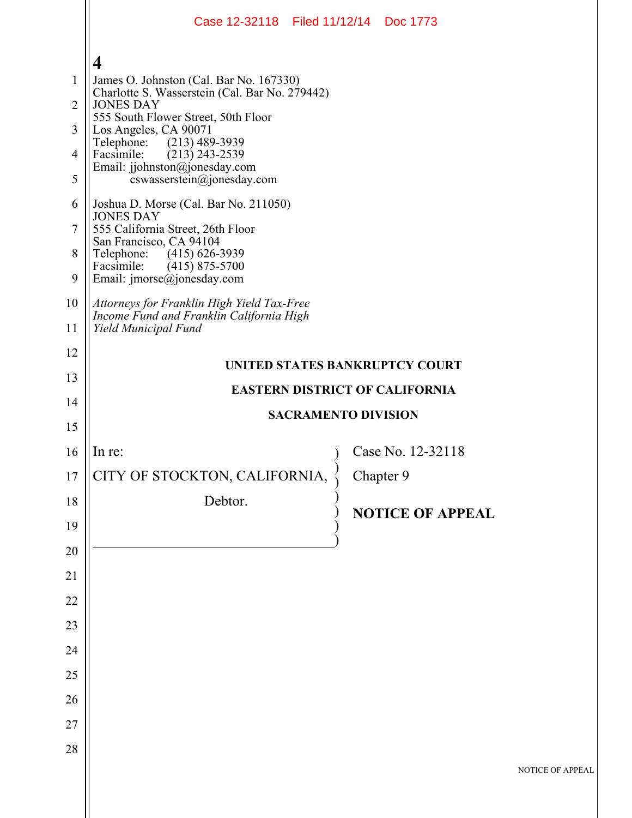|                | Case 12-32118 Filed 11/12/14 Doc 1773                                                     |                                       |                         |               |  |
|----------------|-------------------------------------------------------------------------------------------|---------------------------------------|-------------------------|---------------|--|
|                | $\overline{\mathbf{4}}$                                                                   |                                       |                         |               |  |
| $\mathbf{1}$   | James O. Johnston (Cal. Bar No. 167330)<br>Charlotte S. Wasserstein (Cal. Bar No. 279442) |                                       |                         |               |  |
| $\overline{2}$ | <b>JONES DAY</b><br>555 South Flower Street, 50th Floor                                   |                                       |                         |               |  |
| 3              | Los Angeles, CA 90071<br>$(213)$ 489-3939<br>Telephone:                                   |                                       |                         |               |  |
| 4              | Facsimile:<br>$(213)$ 243-2539<br>Email: jjohnston@jonesday.com                           |                                       |                         |               |  |
| 5              | cswasserstein@jonesday.com                                                                |                                       |                         |               |  |
| 6              | Joshua D. Morse (Cal. Bar No. 211050)<br><b>JONES DAY</b>                                 |                                       |                         |               |  |
| $\tau$         | 555 California Street, 26th Floor<br>San Francisco, CA 94104                              |                                       |                         |               |  |
| 8<br>9         | Telephone: (415) 626-3939<br>Facsimile:<br>$(415)$ 875-5700<br>Email: jmorse@jonesday.com |                                       |                         |               |  |
| 10             | Attorneys for Franklin High Yield Tax-Free                                                |                                       |                         |               |  |
| 11             | Income Fund and Franklin California High<br>Yield Municipal Fund                          |                                       |                         |               |  |
| 12             |                                                                                           |                                       |                         |               |  |
| 13             | UNITED STATES BANKRUPTCY COURT                                                            |                                       |                         |               |  |
| 14             |                                                                                           | <b>EASTERN DISTRICT OF CALIFORNIA</b> |                         |               |  |
|                | <b>SACRAMENTO DIVISION</b>                                                                |                                       |                         |               |  |
| 15             |                                                                                           |                                       |                         |               |  |
| 16             | In re:                                                                                    |                                       | Case No. 12-32118       |               |  |
| 17             | CITY OF STOCKTON, CALIFORNIA,                                                             | Chapter 9                             |                         |               |  |
| 18             | Debtor.                                                                                   |                                       |                         |               |  |
| 19             |                                                                                           |                                       | <b>NOTICE OF APPEAL</b> |               |  |
| $20\,$         |                                                                                           |                                       |                         |               |  |
| 21             |                                                                                           |                                       |                         |               |  |
| 22             |                                                                                           |                                       |                         |               |  |
| 23             |                                                                                           |                                       |                         |               |  |
| 24             |                                                                                           |                                       |                         |               |  |
| 25             |                                                                                           |                                       |                         |               |  |
| 26             |                                                                                           |                                       |                         |               |  |
| $27\,$         |                                                                                           |                                       |                         |               |  |
| 28             |                                                                                           |                                       |                         | <b>NOTICE</b> |  |
|                |                                                                                           |                                       |                         |               |  |

OF APPEAL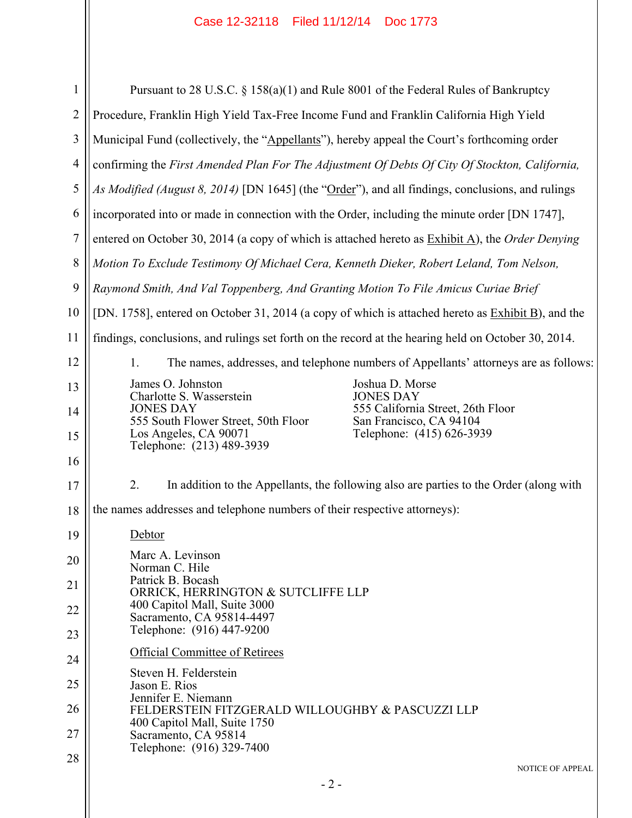| $\mathbf{1}$   | Pursuant to 28 U.S.C. § 158(a)(1) and Rule 8001 of the Federal Rules of Bankruptcy                                      |  |  |  |
|----------------|-------------------------------------------------------------------------------------------------------------------------|--|--|--|
| $\overline{2}$ | Procedure, Franklin High Yield Tax-Free Income Fund and Franklin California High Yield                                  |  |  |  |
| 3              | Municipal Fund (collectively, the "Appellants"), hereby appeal the Court's forthcoming order                            |  |  |  |
| $\overline{4}$ | confirming the First Amended Plan For The Adjustment Of Debts Of City Of Stockton, California,                          |  |  |  |
| 5              | As Modified (August 8, 2014) [DN 1645] (the "Order"), and all findings, conclusions, and rulings                        |  |  |  |
| 6              | incorporated into or made in connection with the Order, including the minute order [DN 1747],                           |  |  |  |
| 7              | entered on October 30, 2014 (a copy of which is attached hereto as $Exhibit A$ ), the Order Denying                     |  |  |  |
| $8\,$          | Motion To Exclude Testimony Of Michael Cera, Kenneth Dieker, Robert Leland, Tom Nelson,                                 |  |  |  |
| 9              | Raymond Smith, And Val Toppenberg, And Granting Motion To File Amicus Curiae Brief                                      |  |  |  |
| 10             | [DN. 1758], entered on October 31, 2014 (a copy of which is attached hereto as Exhibit B), and the                      |  |  |  |
| 11             | findings, conclusions, and rulings set forth on the record at the hearing held on October 30, 2014.                     |  |  |  |
| 12             | The names, addresses, and telephone numbers of Appellants' attorneys are as follows:<br>$1_{\cdot}$                     |  |  |  |
| 13             | James O. Johnston<br>Joshua D. Morse<br>Charlotte S. Wasserstein<br><b>JONES DAY</b>                                    |  |  |  |
| 14             | <b>JONES DAY</b><br>555 California Street, 26th Floor<br>555 South Flower Street, 50th Floor<br>San Francisco, CA 94104 |  |  |  |
| 15             | Telephone: (415) 626-3939<br>Los Angeles, CA 90071<br>Telephone: (213) 489-3939                                         |  |  |  |
| 16             |                                                                                                                         |  |  |  |
| 17             | 2.<br>In addition to the Appellants, the following also are parties to the Order (along with                            |  |  |  |
| 18             | the names addresses and telephone numbers of their respective attorneys):                                               |  |  |  |
| 19             | Debtor                                                                                                                  |  |  |  |
| 20             | Marc A. Levinson<br>Norman C. Hile                                                                                      |  |  |  |
| 21             | Patrick B. Bocash<br>ORRICK, HERRINGTON & SUTCLIFFE LLP                                                                 |  |  |  |
| 22             | 400 Capitol Mall, Suite 3000<br>Sacramento, CA 95814-4497                                                               |  |  |  |
| 23             | Telephone: (916) 447-9200                                                                                               |  |  |  |
| 24             | Official Committee of Retirees<br>Steven H. Felderstein                                                                 |  |  |  |
| 25             | Jason E. Rios<br>Jennifer E. Niemann                                                                                    |  |  |  |
| 26             | FELDERSTEIN FITZGERALD WILLOUGHBY & PASCUZZI LLP                                                                        |  |  |  |
| 27             | 400 Capitol Mall, Suite 1750<br>Sacramento, CA 95814<br>Telephone: (916) 329-7400                                       |  |  |  |
| 28             | <b>NOTICE OF APPEAL</b>                                                                                                 |  |  |  |
|                |                                                                                                                         |  |  |  |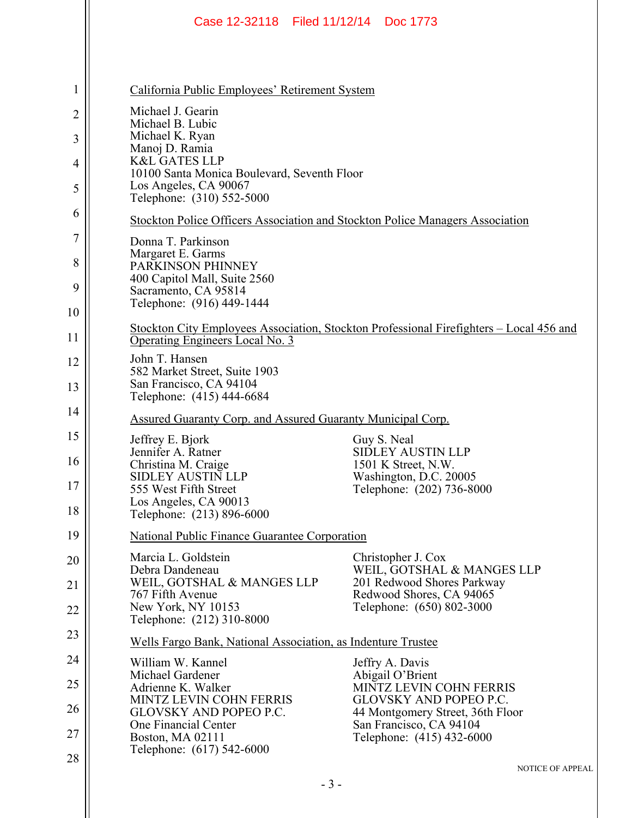|              | Case 12-32118 Filed 11/12/14 Doc 1773                                                                                           |  |  |  |  |
|--------------|---------------------------------------------------------------------------------------------------------------------------------|--|--|--|--|
|              |                                                                                                                                 |  |  |  |  |
| $\mathbf{1}$ | California Public Employees' Retirement System                                                                                  |  |  |  |  |
| 2            | Michael J. Gearin<br>Michael B. Lubic                                                                                           |  |  |  |  |
| 3            | Michael K. Ryan<br>Manoj D. Ramia                                                                                               |  |  |  |  |
| 4            | <b>K&amp;L GATES LLP</b><br>10100 Santa Monica Boulevard, Seventh Floor                                                         |  |  |  |  |
| 5            | Los Angeles, CA 90067<br>Telephone: (310) 552-5000                                                                              |  |  |  |  |
| 6            | Stockton Police Officers Association and Stockton Police Managers Association                                                   |  |  |  |  |
| 7            | Donna T. Parkinson<br>Margaret E. Garms                                                                                         |  |  |  |  |
| 8            | PARKINSON PHINNEY<br>400 Capitol Mall, Suite 2560                                                                               |  |  |  |  |
| 9            | Sacramento, CA 95814                                                                                                            |  |  |  |  |
| 10           | Telephone: (916) 449-1444                                                                                                       |  |  |  |  |
| 11           | Stockton City Employees Association, Stockton Professional Firefighters - Local 456 and<br>Operating Engineers Local No. 3      |  |  |  |  |
| 12           | John T. Hansen<br>582 Market Street, Suite 1903<br>San Francisco, CA 94104                                                      |  |  |  |  |
| 13           | Telephone: (415) 444-6684                                                                                                       |  |  |  |  |
| 14           | Assured Guaranty Corp. and Assured Guaranty Municipal Corp.                                                                     |  |  |  |  |
| 15<br>16     | Jeffrey E. Bjork<br>Guy S. Neal<br><b>SIDLEY AUSTIN LLP</b><br>Jennifer A. Ratner<br>Christina M. Craige<br>1501 K Street, N.W. |  |  |  |  |
| 17           | <b>SIDLEY AUSTIN LLP</b><br>Washington, D.C. 20005                                                                              |  |  |  |  |
| 18           | 555 West Fifth Street<br>Telephone: (202) 736-8000<br>Los Angeles, CA 90013<br>Telephone: (213) 896-6000                        |  |  |  |  |
| 19           | National Public Finance Guarantee Corporation                                                                                   |  |  |  |  |
| 20           | Marcia L. Goldstein<br>Christopher J. Cox<br>Debra Dandeneau<br>WEIL, GOTSHAL & MANGES LLP                                      |  |  |  |  |
| 21           | WEIL, GOTSHAL & MANGES LLP<br>201 Redwood Shores Parkway<br>767 Fifth Avenue<br>Redwood Shores, CA 94065                        |  |  |  |  |
| 22           | New York, NY 10153<br>Telephone: (650) 802-3000<br>Telephone: (212) 310-8000                                                    |  |  |  |  |
| 23           | Wells Fargo Bank, National Association, as Indenture Trustee                                                                    |  |  |  |  |
| 24           | William W. Kannel<br>Jeffry A. Davis<br>Michael Gardener<br>Abigail O'Brient                                                    |  |  |  |  |
| 25           | MINTZ LEVIN COHN FERRIS<br>Adrienne K. Walker<br><b>GLOVSKY AND POPEO P.C.</b><br><b>MINTZ LEVIN COHN FERRIS</b>                |  |  |  |  |
| 26           | <b>GLOVSKY AND POPEO P.C.</b><br>44 Montgomery Street, 36th Floor<br>One Financial Center<br>San Francisco, CA 94104            |  |  |  |  |
| 27           | Boston, MA 02111<br>Telephone: (415) 432-6000<br>Telephone: (617) 542-6000                                                      |  |  |  |  |
| 28           | NOTICE OF APPEAL                                                                                                                |  |  |  |  |
|              | $-3-$                                                                                                                           |  |  |  |  |